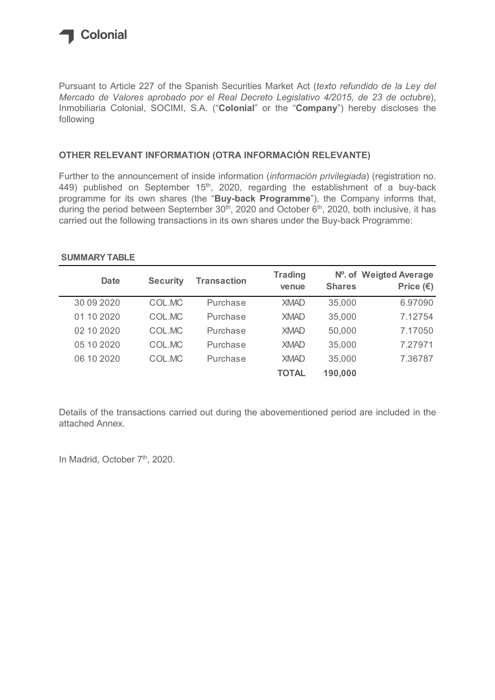

## OTHER RELEVANT INFORMATION (OTRA INFORMACIÓN RELEVANTE)

## SUMMARY TABLE

| following                                               |                 |                                                                                        |                         |               |                                                                                                                                                                                                                                                                                            |
|---------------------------------------------------------|-----------------|----------------------------------------------------------------------------------------|-------------------------|---------------|--------------------------------------------------------------------------------------------------------------------------------------------------------------------------------------------------------------------------------------------------------------------------------------------|
| OTHER RELEVANT INFORMATION (OTRA INFORMACIÓN RELEVANTE) |                 |                                                                                        |                         |               |                                                                                                                                                                                                                                                                                            |
|                                                         |                 | carried out the following transactions in its own shares under the Buy-back Programme: |                         |               | 449) published on September 15 <sup>th</sup> , 2020, regarding the establishment of a buy-back<br>programme for its own shares (the "Buy-back Programme"), the Company informs that,<br>during the period between September $30th$ , 2020 and October $6th$ , 2020, both inclusive, it has |
| <b>SUMMARY TABLE</b>                                    |                 |                                                                                        |                         |               |                                                                                                                                                                                                                                                                                            |
| <b>Date</b>                                             | <b>Security</b> | <b>Transaction</b>                                                                     | <b>Trading</b><br>venue | <b>Shares</b> | N°. of Weigted Average<br>Price $(\epsilon)$                                                                                                                                                                                                                                               |
| 30 09 20 20                                             | COL.MC          | Purchase                                                                               | <b>XMAD</b>             | 35,000        | 6.97090                                                                                                                                                                                                                                                                                    |
| 01 10 2020                                              | COL.MC          | Purchase                                                                               | <b>XMAD</b>             | 35,000        | 7.12754                                                                                                                                                                                                                                                                                    |
| 02 10 2020                                              | COL.MC          | Purchase                                                                               | <b>XMAD</b>             | 50,000        | 7.17050                                                                                                                                                                                                                                                                                    |
| 05 10 2020                                              | COL.MC          | Purchase                                                                               | <b>XMAD</b>             | 35,000        | 7.27971                                                                                                                                                                                                                                                                                    |
| 06 10 2020                                              | COL.MC          | Purchase                                                                               | <b>XMAD</b>             | 35,000        | 7.36787                                                                                                                                                                                                                                                                                    |

Details of the transactions carried out during the abovementioned period are included in the attached Annex.

In Madrid, October 7<sup>th</sup>, 2020.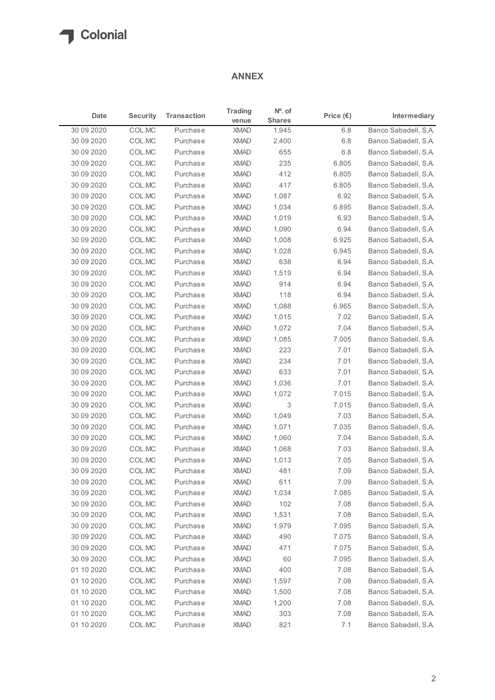## ANNEX

|                            |                                                                    |                      | <b>ANNEX</b>               |                        |                    |                                              |
|----------------------------|--------------------------------------------------------------------|----------------------|----------------------------|------------------------|--------------------|----------------------------------------------|
| Date                       | <b>Security</b>                                                    | <b>Transaction</b>   | <b>Trading</b>             | $No$ . of              | Price $(\epsilon)$ | Intermediary                                 |
| 30 09 20 20                | COL.MC                                                             | Purchase             | venue<br><b>XMAD</b>       | <b>Shares</b><br>1,945 | 6.8                | Banco Sabadell, S.A.                         |
| 30 09 2020                 | COL.MC                                                             | Purchase             | <b>XMAD</b>                | 2,400                  | 6.8                | Banco Sabadell, S.A.                         |
| 30 09 20 20                | COL.MC                                                             | Purchase             | <b>XMAD</b>                | 655                    | 6.8                | Banco Sabadell, S.A.                         |
| 30 09 20 20                | COL.MC                                                             | Purchase             | <b>XMAD</b>                | 235                    | 6.805              | Banco Sabadell, S.A.                         |
| 30 09 2020                 | COL.MC                                                             | Purchase             | <b>XMAD</b>                | 412                    | 6.805              | Banco Sabadell, S.A.                         |
| 30 09 20 20                | COL.MC<br>COL.MC                                                   | Purchase             | <b>XMAD</b><br><b>XMAD</b> | 417                    | 6.805              | Banco Sabadell, S.A.                         |
| 30 09 20 20<br>30 09 20 20 | COL.MC                                                             | Purchase<br>Purchase | <b>XMAD</b>                | 1,087<br>1,034         | 6.92<br>6.895      | Banco Sabadell, S.A.<br>Banco Sabadell, S.A. |
| 30 09 20 20                | COL.MC                                                             | Purchase             | <b>XMAD</b>                | 1,019                  | 6.93               | Banco Sabadell, S.A.                         |
| 30 09 20 20                | COL.MC                                                             | Purchase             | <b>XMAD</b>                | 1,090                  | 6.94               | Banco Sabadell, S.A.                         |
| 30 09 20 20                | COL.MC                                                             | Purchase             | <b>XMAD</b>                | 1,008                  | 6.925              | Banco Sabadell, S.A.                         |
| 30 09 20 20                | COL.MC                                                             | Purchase             | <b>XMAD</b>                | 1,028                  | 6.945              | Banco Sabadell, S.A.                         |
| 30 09 20 20                | COL.MC                                                             | Purchase             | <b>XMAD</b>                | 638                    | 6.94               | Banco Sabadell, S.A.                         |
| 30 09 2020                 | $\ensuremath{\mathsf{COL}}\xspace.\ensuremath{\mathsf{MC}}\xspace$ | Purchase             | XMAD                       | 1,519                  | 6.94               | Banco Sabadell, S.A.                         |
| 30 09 20 20                | COL.MC                                                             | Purchase             | <b>XMAD</b>                | 914                    | 6.94               | Banco Sabadell, S.A.                         |
| 30 09 20 20                | COL.MC                                                             | Purchase             | <b>XMAD</b>                | 118                    | 6.94               | Banco Sabadell, S.A.                         |
| 30 09 20 20                | COL.MC                                                             | Purchase             | XMAD                       | 1,088                  | 6.965              | Banco Sabadell, S.A.                         |
| 30 09 20 20                | COL.MC                                                             | Purchase             | <b>XMAD</b>                | 1,015                  | 7.02               | Banco Sabadell, S.A.                         |
| 30 09 20 20<br>30 09 20 20 | COL.MC<br>COL.MC                                                   | Purchase<br>Purchase | XMAD<br>XMAD               | 1,072<br>1,085         | 7.04<br>7.005      | Banco Sabadell, S.A.<br>Banco Sabadell, S.A. |
| 30 09 20 20                | COL.MC                                                             | Purchase             | <b>XMAD</b>                | 223                    | 7.01               | Banco Sabadell, S.A.                         |
| 30 09 2020                 | COL.MC                                                             | Purchase             | <b>XMAD</b>                | 234                    | 7.01               | Banco Sabadell, S.A.                         |
| 30 09 20 20                | COL.MC                                                             | Purchase             | <b>XMAD</b>                | 633                    | 7.01               | Banco Sabadell, S.A.                         |
| 30 09 20 20                | COL.MC                                                             | Purchase             | XMAD                       | 1,036                  | 7.01               | Banco Sabadell, S.A.                         |
| 30 09 20 20                | COL.MC                                                             | Purchase             | XMAD                       | 1,072                  | 7.015              | Banco Sabadell, S.A.                         |
| 30 09 2020                 | COL.MC                                                             | Purchase             | <b>XMAD</b>                | 3                      | 7.015              | Banco Sabadell, S.A.                         |
| 30 09 20 20                | COL.MC                                                             | Purchase             | <b>XMAD</b>                | 1,049                  | 7.03               | Banco Sabadell, S.A.                         |
| 30 09 20 20                | COL.MC                                                             | Purchase             | XMAD                       | 1,071                  | 7.035              | Banco Sabadell, S.A.                         |
| 30 09 20 20                | COL.MC                                                             | Purchase             | XMAD                       | 1,060                  | 7.04               | Banco Sabadell, S.A.                         |
| 30 09 2020                 | COL.MC                                                             | Purchase             | XMAD                       | 1,068                  | 7.03               | Banco Sabadell, S.A.                         |
| 30 09 20 20                | COL.MC                                                             | Purchase             | <b>XMAD</b>                | 1,013                  | 7.05               | Banco Sabadell, S.A.                         |
| 30 09 20 20                | COL.MC                                                             | Purchase             | <b>XMAD</b>                | 481                    | 7.09               | Banco Sabadell, S.A.                         |
| 30 09 20 20                | COL.MC                                                             | Purchase             | XMAD                       | 611                    | 7.09               | Banco Sabadell, S.A.                         |
| 30 09 20 20                | COL.MC                                                             | Purchase             | <b>XMAD</b>                | 1,034                  | 7.085              | Banco Sabadell, S.A.                         |
| 30 09 20 20<br>30 09 2020  | COL.MC<br>COL.MC                                                   | Purchase<br>Purchase | XMAD<br><b>XMAD</b>        | 102<br>1,531           | 7.08<br>7.08       | Banco Sabadell, S.A.<br>Banco Sabadell, S.A. |
| 30 09 20 20                | COL.MC                                                             | Purchase             | <b>XMAD</b>                | 1,979                  | 7.095              | Banco Sabadell, S.A.                         |
| 30 09 20 20                | COL.MC                                                             | Purchase             | XMAD                       | 490                    | 7.075              | Banco Sabadell, S.A.                         |
| 30 09 20 20                | COL.MC                                                             | Purchase             | XMAD                       | 471                    | 7.075              | Banco Sabadell, S.A.                         |
| 30 09 2020                 | COL.MC                                                             | Purchase             | <b>XMAD</b>                | 60                     | 7.095              | Banco Sabadell, S.A.                         |
| 01 10 2020                 | COL.MC                                                             | Purchase             | <b>XMAD</b>                | 400                    | 7.08               | Banco Sabadell, S.A.                         |
| 01 10 2020                 | COL.MC                                                             | Purchase             | <b>XMAD</b>                | 1,597                  | 7.08               | Banco Sabadell, S.A.                         |
| 01 10 2020                 | COL.MC                                                             | Purchase             | XMAD                       | 1,500                  | 7.08               | Banco Sabadell, S.A.                         |
| 01 10 2020                 | COL.MC                                                             | Purchase             | <b>XMAD</b>                | 1,200                  | 7.08               | Banco Sabadell, S.A.                         |
| 01 10 2020                 | COL.MC                                                             | Purchase             | XMAD                       | 303                    | 7.08               | Banco Sabadell, S.A.                         |
| 01 10 2020                 | COL.MC                                                             | Purchase             | <b>XMAD</b>                | 821                    | 7.1                | Banco Sabadell, S.A.                         |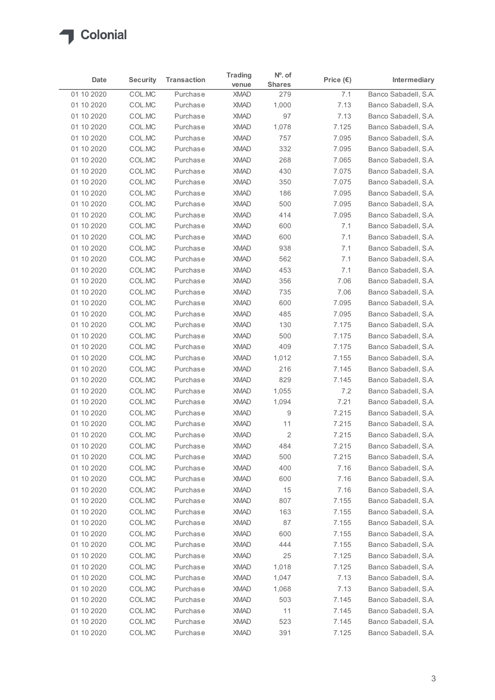

| Date                     | <b>Security</b>  | <b>Transaction</b>   | <b>Trading</b><br>venue    | $No$ . of<br><b>Shares</b> | Price $(\epsilon)$ | Intermediary                                 |
|--------------------------|------------------|----------------------|----------------------------|----------------------------|--------------------|----------------------------------------------|
| 01 10 2020               | COL.MC           | Purchase             | <b>XMAD</b>                | 279                        | 7.1                | Banco Sabadell, S.A.                         |
| 01 10 2020               | COL.MC           | Purchase             | <b>XMAD</b>                | 1,000                      | 7.13               | Banco Sabadell, S.A.                         |
| 01 10 2020               | COL.MC           | Purchase             | <b>XMAD</b>                | 97                         | 7.13               | Banco Sabadell, S.A.                         |
| 01 10 2020               | COL.MC           | Purchase             | <b>XMAD</b>                | 1,078                      | 7.125              | Banco Sabadell, S.A.                         |
| 01 10 2020               | COL.MC           | Purchase             | <b>XMAD</b>                | 757                        | 7.095              | Banco Sabadell, S.A.                         |
| 01 10 2020               | COL.MC           | Purchase             | <b>XMAD</b>                | 332                        | 7.095              | Banco Sabadell, S.A.                         |
| 01 10 2020               | COL.MC           | Purchase             | <b>XMAD</b>                | 268                        | 7.065              | Banco Sabadell, S.A.                         |
| 01 10 2020<br>01 10 2020 | COL.MC<br>COL.MC | Purchase<br>Purchase | <b>XMAD</b><br><b>XMAD</b> | 430<br>350                 | 7.075<br>7.075     | Banco Sabadell, S.A.<br>Banco Sabadell, S.A. |
| 01 10 2020               | COL.MC           | Purchase             | <b>XMAD</b>                | 186                        | 7.095              | Banco Sabadell, S.A.                         |
| 01 10 2020               | COL.MC           | Purchase             | <b>XMAD</b>                | 500                        | 7.095              | Banco Sabadell, S.A.                         |
| 01 10 2020               | COL.MC           | Purchase             | <b>XMAD</b>                | 414                        | 7.095              | Banco Sabadell, S.A.                         |
| 01 10 2020               | COL.MC           | Purchase             | <b>XMAD</b>                | 600                        | 7.1                | Banco Sabadell, S.A.                         |
| 01 10 2020               | COL.MC           | Purchase             | <b>XMAD</b>                | 600                        | 7.1                | Banco Sabadell, S.A.                         |
| 01 10 2020               | COL.MC           | Purchase             | <b>XMAD</b>                | 938                        | 7.1                | Banco Sabadell, S.A.                         |
| 01 10 2020               | COL.MC           | Purchase             | <b>XMAD</b>                | 562                        | 7.1                | Banco Sabadell, S.A.                         |
| 01 10 2020               | COL.MC           | Purchase             | <b>XMAD</b>                | 453                        | 7.1                | Banco Sabadell, S.A.                         |
| 01 10 2020               | COL.MC           | Purchase             | <b>XMAD</b>                | 356                        | 7.06               | Banco Sabadell, S.A.                         |
| 01 10 2020               | COL.MC           | Purchase             | <b>XMAD</b>                | 735                        | 7.06               | Banco Sabadell, S.A.                         |
| 01 10 2020               | COL.MC           | Purchase             | <b>XMAD</b>                | 600                        | 7.095              | Banco Sabadell, S.A.                         |
| 01 10 2020               | COL.MC           | Purchase             | <b>XMAD</b>                | 485                        | 7.095              | Banco Sabadell, S.A.                         |
| 01 10 2020               | COL.MC           | Purchase             | <b>XMAD</b>                | 130                        | 7.175              | Banco Sabadell, S.A.                         |
| 01 10 2020               | COL.MC           | Purchase             | <b>XMAD</b><br><b>XMAD</b> | 500<br>409                 | 7.175<br>7.175     | Banco Sabadell, S.A.                         |
| 01 10 2020<br>01 10 2020 | COL.MC<br>COL.MC | Purchase<br>Purchase | <b>XMAD</b>                | 1,012                      | 7.155              | Banco Sabadell, S.A.<br>Banco Sabadell, S.A. |
| 01 10 2020               | COL.MC           | Purchase             | <b>XMAD</b>                | 216                        | 7.145              | Banco Sabadell, S.A.                         |
| 01 10 2020               | COL.MC           | Purchase             | <b>XMAD</b>                | 829                        | 7.145              | Banco Sabadell, S.A.                         |
| 01 10 2020               | COL.MC           | Purchase             | <b>XMAD</b>                | 1,055                      | 7.2                | Banco Sabadell, S.A.                         |
| 01 10 2020               | COL.MC           | Purchase             | <b>XMAD</b>                | 1,094                      | 7.21               | Banco Sabadell, S.A.                         |
| 01 10 2020               | COL.MC           | Purchase             | <b>XMAD</b>                | 9                          | 7.215              | Banco Sabadell, S.A.                         |
| 01 10 2020               | COL.MC           | Purchase             | <b>XMAD</b>                | 11                         | 7.215              | Banco Sabadell, S.A.                         |
| 01 10 2020               | COL.MC           | Purchase             | <b>XMAD</b>                | $\overline{2}$             | 7.215              | Banco Sabadell, S.A.                         |
| 01 10 2020               | COL.MC           | Purchase             | <b>XMAD</b>                | 484                        | 7.215              | Banco Sabadell, S.A.                         |
| 01 10 2020               | COL.MC           | Purchase             | <b>XMAD</b>                | 500                        | 7.215              | Banco Sabadell, S.A.                         |
| 01 10 2020               | COL.MC           | Purchase             | <b>XMAD</b>                | 400                        | 7.16               | Banco Sabadell, S.A.                         |
| 01 10 2020               | COL.MC           | Purchase             | <b>XMAD</b>                | 600                        | 7.16               | Banco Sabadell, S.A.                         |
| 01 10 2020               | COL.MC           | Purchase             | <b>XMAD</b>                | 15                         | 7.16               | Banco Sabadell, S.A.                         |
| 01 10 2020               | COL.MC           | Purchase             | <b>XMAD</b>                | 807                        | 7.155              | Banco Sabadell, S.A.                         |
| 01 10 2020               | COL.MC           | Purchase             | <b>XMAD</b>                | 163                        | 7.155              | Banco Sabadell, S.A.                         |
| 01 10 2020               | COL.MC           | Purchase             | <b>XMAD</b>                | 87                         | 7.155              | Banco Sabadell, S.A.                         |
| 01 10 2020               | COL.MC           | Purchase<br>Purchase | <b>XMAD</b><br><b>XMAD</b> | 600<br>444                 | 7.155<br>7.155     | Banco Sabadell, S.A.                         |
| 01 10 2020<br>01 10 2020 | COL.MC<br>COL.MC | Purchase             | <b>XMAD</b>                | 25                         | 7.125              | Banco Sabadell, S.A.<br>Banco Sabadell, S.A. |
| 01 10 2020               | COL.MC           | Purchase             | <b>XMAD</b>                | 1,018                      | 7.125              | Banco Sabadell, S.A.                         |
| 01 10 2020               | COL.MC           | Purchase             | <b>XMAD</b>                | 1,047                      | 7.13               | Banco Sabadell, S.A.                         |
| 01 10 2020               | COL.MC           | Purchase             | <b>XMAD</b>                | 1,068                      | 7.13               | Banco Sabadell, S.A.                         |
| 01 10 2020               | COL.MC           | Purchase             | <b>XMAD</b>                | 503                        | 7.145              | Banco Sabadell, S.A.                         |
| 01 10 2020               | COL.MC           | Purchase             | XMAD                       | 11                         | 7.145              | Banco Sabadell, S.A.                         |
|                          | COL.MC           | Purchase             | XMAD                       | 523                        | 7.145              | Banco Sabadell, S.A.                         |
| 01 10 2020               |                  |                      |                            |                            |                    |                                              |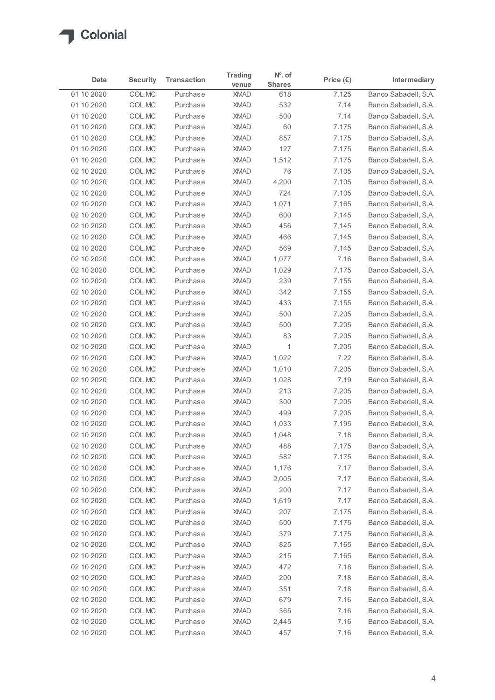

| Intermediary<br>Date<br><b>Shares</b><br>venue<br>7.125<br>Banco Sabadell, S.A.<br>01 10 2020<br>COL.MC<br>Purchase<br><b>XMAD</b><br>618<br>COL.MC<br>7.14<br>Banco Sabadell, S.A.<br>01 10 2020<br>Purchase<br><b>XMAD</b><br>532<br>COL.MC<br>Banco Sabadell, S.A.<br>01 10 2020<br>Purchase<br><b>XMAD</b><br>500<br>7.14<br>COL.MC<br><b>XMAD</b><br>60<br>7.175<br>01 10 2020<br>Purchase<br>Banco Sabadell, S.A.<br>COL.MC<br>Banco Sabadell, S.A.<br>01 10 2020<br>Purchase<br><b>XMAD</b><br>857<br>7.175<br>COL.MC<br>7.175<br>Banco Sabadell, S.A.<br>01 10 2020<br>Purchase<br><b>XMAD</b><br>127<br>01 10 2020<br>COL.MC<br>Purchase<br><b>XMAD</b><br>1,512<br>7.175<br>Banco Sabadell, S.A.<br>76<br>02 10 2020<br>COL.MC<br><b>XMAD</b><br>7.105<br>Banco Sabadell, S.A.<br>Purchase<br>COL.MC<br>7.105<br>02 10 2020<br>Purchase<br><b>XMAD</b><br>4,200<br>Banco Sabadell, S.A.<br>COL.MC<br><b>XMAD</b><br>7.105<br>Banco Sabadell, S.A.<br>02 10 2020<br>Purchase<br>724<br>COL.MC<br>1,071<br>7.165<br>02 10 2020<br>Purchase<br><b>XMAD</b><br>Banco Sabadell, S.A.<br>7.145<br>02 10 2020<br>COL.MC<br>Purchase<br><b>XMAD</b><br>600<br>Banco Sabadell, S.A.<br>COL.MC<br><b>XMAD</b><br>456<br>7.145<br>Banco Sabadell, S.A.<br>02 10 2020<br>Purchase<br>Banco Sabadell, S.A.<br>COLMC<br>7.145<br>02 10 2020<br>Purchase<br><b>XMAD</b><br>466<br>COL.MC<br>7.145<br>02 10 2020<br>Purchase<br><b>XMAD</b><br>569<br>COL.MC<br>1,077<br>7.16<br>02 10 2020<br>Purchase<br><b>XMAD</b><br>COL.MC<br>7.175<br>02 10 2020<br>Purchase<br><b>XMAD</b><br>1,029<br><b>XMAD</b><br>239<br>7.155<br>02 10 2020<br>COL.MC<br>Purchase<br>COL.MC<br>342<br>7.155<br>02 10 2020<br>Purchase<br><b>XMAD</b><br>COL.MC<br>433<br>7.155<br>02 10 2020<br>Purchase<br><b>XMAD</b><br>COL.MC<br>7.205<br>02 10 2020<br>Purchase<br><b>XMAD</b><br>500<br>COL.MC<br>500<br>7.205<br>02 10 2020<br>Purchase<br><b>XMAD</b><br>83<br>7.205<br>02 10 2020<br>COL.MC<br>Purchase<br><b>XMAD</b><br>$\overline{1}$<br>7.205<br>02 10 2020<br>COL.MC<br>Purchase<br><b>XMAD</b><br>COL.MC<br>7.22<br>02 10 2020<br>Purchase<br><b>XMAD</b><br>1,022<br>COL.MC<br>1,010<br>7.205<br>02 10 2020<br>Purchase<br><b>XMAD</b><br>7.19<br>02 10 2020<br>COL.MC<br>Purchase<br><b>XMAD</b><br>1,028<br>COL.MC<br><b>XMAD</b><br>213<br>7.205<br>02 10 2020<br>Purchase<br>COL.MC<br>300<br>7.205<br>02 10 2020<br>Purchase<br><b>XMAD</b><br>COL.MC<br>7.205<br>02 10 2020<br>Purchase<br><b>XMAD</b><br>499<br>7.195<br>02 10 2020<br>COL.MC<br>Purchase<br><b>XMAD</b><br>1,033<br>02 10 2020<br>COL.MC<br>Purchase<br><b>XMAD</b><br>1,048<br>7.18<br><b>XMAD</b><br>488<br>7.175<br>02 10 2020<br>COL.MC<br>Purchase<br>7.175<br>02 10 2020<br>COL.MC<br>Purchase<br><b>XMAD</b><br>582<br>02 10 2020<br>COL.MC<br>Purchase<br><b>XMAD</b><br>1,176<br>7.17<br>02 10 2020<br>COL.MC<br>7.17<br>Purchase<br><b>XMAD</b><br>2,005<br>200<br>7.17<br>02 10 2020<br>COL.MC<br>Purchase<br><b>XMAD</b><br>1,619<br>7.17<br>02 10 2020<br>COL.MC<br>Purchase<br><b>XMAD</b><br>COL.MC<br>207<br>7.175<br>02 10 2020<br>Purchase<br><b>XMAD</b><br>COL.MC<br>7.175<br>02 10 2020<br>Purchase<br><b>XMAD</b><br>500<br>379<br>7.175<br>02 10 2020<br>COL.MC<br>Purchase<br><b>XMAD</b><br>825<br>7.165<br>02 10 2020<br>COL.MC<br><b>XMAD</b><br>Purchase<br>215<br>7.165<br>02 10 2020<br>COL.MC<br>Purchase<br><b>XMAD</b><br>COL.MC<br><b>XMAD</b><br>472<br>7.18<br>02 10 2020<br>Purchase<br>COL.MC<br>200<br>02 10 2020<br>Purchase<br><b>XMAD</b><br>7.18<br>351<br>7.18<br>02 10 2020<br>COL.MC<br>Purchase<br><b>XMAD</b><br>679<br>02 10 2020<br>COL.MC<br><b>XMAD</b><br>7.16<br>Purchase<br>7.16<br>COL.MC<br>XMAD<br>365<br>02 10 2020<br>Purchase<br>Banco Sabadell, S.A.<br>02 10 2020<br>COL.MC<br>Purchase<br>XMAD<br>2,445<br>7.16<br>Banco Sabadell, S.A. |  |                 |                    | <b>Trading</b> | $No$ . of |                    |  |
|------------------------------------------------------------------------------------------------------------------------------------------------------------------------------------------------------------------------------------------------------------------------------------------------------------------------------------------------------------------------------------------------------------------------------------------------------------------------------------------------------------------------------------------------------------------------------------------------------------------------------------------------------------------------------------------------------------------------------------------------------------------------------------------------------------------------------------------------------------------------------------------------------------------------------------------------------------------------------------------------------------------------------------------------------------------------------------------------------------------------------------------------------------------------------------------------------------------------------------------------------------------------------------------------------------------------------------------------------------------------------------------------------------------------------------------------------------------------------------------------------------------------------------------------------------------------------------------------------------------------------------------------------------------------------------------------------------------------------------------------------------------------------------------------------------------------------------------------------------------------------------------------------------------------------------------------------------------------------------------------------------------------------------------------------------------------------------------------------------------------------------------------------------------------------------------------------------------------------------------------------------------------------------------------------------------------------------------------------------------------------------------------------------------------------------------------------------------------------------------------------------------------------------------------------------------------------------------------------------------------------------------------------------------------------------------------------------------------------------------------------------------------------------------------------------------------------------------------------------------------------------------------------------------------------------------------------------------------------------------------------------------------------------------------------------------------------------------------------------------------------------------------------------------------------------------------------------------------------------------------------------------------------------------------------------------------------------------------------------------------------------------------------------------------------------------------------------------------------------------------------------------------------------------------------------------------------------------------------------------------------------------------------------------------------------------------------------------------------------------------------------------------------------------------------------------------------------------------------------------------|--|-----------------|--------------------|----------------|-----------|--------------------|--|
| Banco Sabadell, S.A.<br>Banco Sabadell, S.A.<br>Banco Sabadell, S.A.<br>Banco Sabadell, S.A.<br>Banco Sabadell, S.A.<br>Banco Sabadell, S.A.<br>Banco Sabadell, S.A.<br>Banco Sabadell, S.A.<br>Banco Sabadell, S.A.<br>Banco Sabadell, S.A.<br>Banco Sabadell, S.A.<br>Banco Sabadell, S.A.<br>Banco Sabadell, S.A.<br>Banco Sabadell, S.A.<br>Banco Sabadell, S.A.<br>Banco Sabadell, S.A.<br>Banco Sabadell, S.A.<br>Banco Sabadell, S.A.<br>Banco Sabadell, S.A.<br>Banco Sabadell, S.A.<br>Banco Sabadell, S.A.<br>Banco Sabadell, S.A.<br>Banco Sabadell, S.A.<br>Banco Sabadell, S.A.<br>Banco Sabadell, S.A.<br>Banco Sabadell, S.A.<br>Banco Sabadell, S.A.<br>Banco Sabadell, S.A.<br>Banco Sabadell, S.A.<br>Banco Sabadell, S.A.<br>Banco Sabadell, S.A.<br>Banco Sabadell, S.A.<br>Banco Sabadell, S.A.                                                                                                                                                                                                                                                                                                                                                                                                                                                                                                                                                                                                                                                                                                                                                                                                                                                                                                                                                                                                                                                                                                                                                                                                                                                                                                                                                                                                                                                                                                                                                                                                                                                                                                                                                                                                                                                                                                                                                                                                                                                                                                                                                                                                                                                                                                                                                                                                                                                                                                                                                                                                                                                                                                                                                                                                                                                                                                                                                                                                                                                   |  | <b>Security</b> | <b>Transaction</b> |                |           | Price $(\epsilon)$ |  |
|                                                                                                                                                                                                                                                                                                                                                                                                                                                                                                                                                                                                                                                                                                                                                                                                                                                                                                                                                                                                                                                                                                                                                                                                                                                                                                                                                                                                                                                                                                                                                                                                                                                                                                                                                                                                                                                                                                                                                                                                                                                                                                                                                                                                                                                                                                                                                                                                                                                                                                                                                                                                                                                                                                                                                                                                                                                                                                                                                                                                                                                                                                                                                                                                                                                                                                                                                                                                                                                                                                                                                                                                                                                                                                                                                                                                                                                                        |  |                 |                    |                |           |                    |  |
|                                                                                                                                                                                                                                                                                                                                                                                                                                                                                                                                                                                                                                                                                                                                                                                                                                                                                                                                                                                                                                                                                                                                                                                                                                                                                                                                                                                                                                                                                                                                                                                                                                                                                                                                                                                                                                                                                                                                                                                                                                                                                                                                                                                                                                                                                                                                                                                                                                                                                                                                                                                                                                                                                                                                                                                                                                                                                                                                                                                                                                                                                                                                                                                                                                                                                                                                                                                                                                                                                                                                                                                                                                                                                                                                                                                                                                                                        |  |                 |                    |                |           |                    |  |
|                                                                                                                                                                                                                                                                                                                                                                                                                                                                                                                                                                                                                                                                                                                                                                                                                                                                                                                                                                                                                                                                                                                                                                                                                                                                                                                                                                                                                                                                                                                                                                                                                                                                                                                                                                                                                                                                                                                                                                                                                                                                                                                                                                                                                                                                                                                                                                                                                                                                                                                                                                                                                                                                                                                                                                                                                                                                                                                                                                                                                                                                                                                                                                                                                                                                                                                                                                                                                                                                                                                                                                                                                                                                                                                                                                                                                                                                        |  |                 |                    |                |           |                    |  |
|                                                                                                                                                                                                                                                                                                                                                                                                                                                                                                                                                                                                                                                                                                                                                                                                                                                                                                                                                                                                                                                                                                                                                                                                                                                                                                                                                                                                                                                                                                                                                                                                                                                                                                                                                                                                                                                                                                                                                                                                                                                                                                                                                                                                                                                                                                                                                                                                                                                                                                                                                                                                                                                                                                                                                                                                                                                                                                                                                                                                                                                                                                                                                                                                                                                                                                                                                                                                                                                                                                                                                                                                                                                                                                                                                                                                                                                                        |  |                 |                    |                |           |                    |  |
|                                                                                                                                                                                                                                                                                                                                                                                                                                                                                                                                                                                                                                                                                                                                                                                                                                                                                                                                                                                                                                                                                                                                                                                                                                                                                                                                                                                                                                                                                                                                                                                                                                                                                                                                                                                                                                                                                                                                                                                                                                                                                                                                                                                                                                                                                                                                                                                                                                                                                                                                                                                                                                                                                                                                                                                                                                                                                                                                                                                                                                                                                                                                                                                                                                                                                                                                                                                                                                                                                                                                                                                                                                                                                                                                                                                                                                                                        |  |                 |                    |                |           |                    |  |
|                                                                                                                                                                                                                                                                                                                                                                                                                                                                                                                                                                                                                                                                                                                                                                                                                                                                                                                                                                                                                                                                                                                                                                                                                                                                                                                                                                                                                                                                                                                                                                                                                                                                                                                                                                                                                                                                                                                                                                                                                                                                                                                                                                                                                                                                                                                                                                                                                                                                                                                                                                                                                                                                                                                                                                                                                                                                                                                                                                                                                                                                                                                                                                                                                                                                                                                                                                                                                                                                                                                                                                                                                                                                                                                                                                                                                                                                        |  |                 |                    |                |           |                    |  |
|                                                                                                                                                                                                                                                                                                                                                                                                                                                                                                                                                                                                                                                                                                                                                                                                                                                                                                                                                                                                                                                                                                                                                                                                                                                                                                                                                                                                                                                                                                                                                                                                                                                                                                                                                                                                                                                                                                                                                                                                                                                                                                                                                                                                                                                                                                                                                                                                                                                                                                                                                                                                                                                                                                                                                                                                                                                                                                                                                                                                                                                                                                                                                                                                                                                                                                                                                                                                                                                                                                                                                                                                                                                                                                                                                                                                                                                                        |  |                 |                    |                |           |                    |  |
|                                                                                                                                                                                                                                                                                                                                                                                                                                                                                                                                                                                                                                                                                                                                                                                                                                                                                                                                                                                                                                                                                                                                                                                                                                                                                                                                                                                                                                                                                                                                                                                                                                                                                                                                                                                                                                                                                                                                                                                                                                                                                                                                                                                                                                                                                                                                                                                                                                                                                                                                                                                                                                                                                                                                                                                                                                                                                                                                                                                                                                                                                                                                                                                                                                                                                                                                                                                                                                                                                                                                                                                                                                                                                                                                                                                                                                                                        |  |                 |                    |                |           |                    |  |
|                                                                                                                                                                                                                                                                                                                                                                                                                                                                                                                                                                                                                                                                                                                                                                                                                                                                                                                                                                                                                                                                                                                                                                                                                                                                                                                                                                                                                                                                                                                                                                                                                                                                                                                                                                                                                                                                                                                                                                                                                                                                                                                                                                                                                                                                                                                                                                                                                                                                                                                                                                                                                                                                                                                                                                                                                                                                                                                                                                                                                                                                                                                                                                                                                                                                                                                                                                                                                                                                                                                                                                                                                                                                                                                                                                                                                                                                        |  |                 |                    |                |           |                    |  |
|                                                                                                                                                                                                                                                                                                                                                                                                                                                                                                                                                                                                                                                                                                                                                                                                                                                                                                                                                                                                                                                                                                                                                                                                                                                                                                                                                                                                                                                                                                                                                                                                                                                                                                                                                                                                                                                                                                                                                                                                                                                                                                                                                                                                                                                                                                                                                                                                                                                                                                                                                                                                                                                                                                                                                                                                                                                                                                                                                                                                                                                                                                                                                                                                                                                                                                                                                                                                                                                                                                                                                                                                                                                                                                                                                                                                                                                                        |  |                 |                    |                |           |                    |  |
|                                                                                                                                                                                                                                                                                                                                                                                                                                                                                                                                                                                                                                                                                                                                                                                                                                                                                                                                                                                                                                                                                                                                                                                                                                                                                                                                                                                                                                                                                                                                                                                                                                                                                                                                                                                                                                                                                                                                                                                                                                                                                                                                                                                                                                                                                                                                                                                                                                                                                                                                                                                                                                                                                                                                                                                                                                                                                                                                                                                                                                                                                                                                                                                                                                                                                                                                                                                                                                                                                                                                                                                                                                                                                                                                                                                                                                                                        |  |                 |                    |                |           |                    |  |
|                                                                                                                                                                                                                                                                                                                                                                                                                                                                                                                                                                                                                                                                                                                                                                                                                                                                                                                                                                                                                                                                                                                                                                                                                                                                                                                                                                                                                                                                                                                                                                                                                                                                                                                                                                                                                                                                                                                                                                                                                                                                                                                                                                                                                                                                                                                                                                                                                                                                                                                                                                                                                                                                                                                                                                                                                                                                                                                                                                                                                                                                                                                                                                                                                                                                                                                                                                                                                                                                                                                                                                                                                                                                                                                                                                                                                                                                        |  |                 |                    |                |           |                    |  |
|                                                                                                                                                                                                                                                                                                                                                                                                                                                                                                                                                                                                                                                                                                                                                                                                                                                                                                                                                                                                                                                                                                                                                                                                                                                                                                                                                                                                                                                                                                                                                                                                                                                                                                                                                                                                                                                                                                                                                                                                                                                                                                                                                                                                                                                                                                                                                                                                                                                                                                                                                                                                                                                                                                                                                                                                                                                                                                                                                                                                                                                                                                                                                                                                                                                                                                                                                                                                                                                                                                                                                                                                                                                                                                                                                                                                                                                                        |  |                 |                    |                |           |                    |  |
|                                                                                                                                                                                                                                                                                                                                                                                                                                                                                                                                                                                                                                                                                                                                                                                                                                                                                                                                                                                                                                                                                                                                                                                                                                                                                                                                                                                                                                                                                                                                                                                                                                                                                                                                                                                                                                                                                                                                                                                                                                                                                                                                                                                                                                                                                                                                                                                                                                                                                                                                                                                                                                                                                                                                                                                                                                                                                                                                                                                                                                                                                                                                                                                                                                                                                                                                                                                                                                                                                                                                                                                                                                                                                                                                                                                                                                                                        |  |                 |                    |                |           |                    |  |
|                                                                                                                                                                                                                                                                                                                                                                                                                                                                                                                                                                                                                                                                                                                                                                                                                                                                                                                                                                                                                                                                                                                                                                                                                                                                                                                                                                                                                                                                                                                                                                                                                                                                                                                                                                                                                                                                                                                                                                                                                                                                                                                                                                                                                                                                                                                                                                                                                                                                                                                                                                                                                                                                                                                                                                                                                                                                                                                                                                                                                                                                                                                                                                                                                                                                                                                                                                                                                                                                                                                                                                                                                                                                                                                                                                                                                                                                        |  |                 |                    |                |           |                    |  |
|                                                                                                                                                                                                                                                                                                                                                                                                                                                                                                                                                                                                                                                                                                                                                                                                                                                                                                                                                                                                                                                                                                                                                                                                                                                                                                                                                                                                                                                                                                                                                                                                                                                                                                                                                                                                                                                                                                                                                                                                                                                                                                                                                                                                                                                                                                                                                                                                                                                                                                                                                                                                                                                                                                                                                                                                                                                                                                                                                                                                                                                                                                                                                                                                                                                                                                                                                                                                                                                                                                                                                                                                                                                                                                                                                                                                                                                                        |  |                 |                    |                |           |                    |  |
|                                                                                                                                                                                                                                                                                                                                                                                                                                                                                                                                                                                                                                                                                                                                                                                                                                                                                                                                                                                                                                                                                                                                                                                                                                                                                                                                                                                                                                                                                                                                                                                                                                                                                                                                                                                                                                                                                                                                                                                                                                                                                                                                                                                                                                                                                                                                                                                                                                                                                                                                                                                                                                                                                                                                                                                                                                                                                                                                                                                                                                                                                                                                                                                                                                                                                                                                                                                                                                                                                                                                                                                                                                                                                                                                                                                                                                                                        |  |                 |                    |                |           |                    |  |
|                                                                                                                                                                                                                                                                                                                                                                                                                                                                                                                                                                                                                                                                                                                                                                                                                                                                                                                                                                                                                                                                                                                                                                                                                                                                                                                                                                                                                                                                                                                                                                                                                                                                                                                                                                                                                                                                                                                                                                                                                                                                                                                                                                                                                                                                                                                                                                                                                                                                                                                                                                                                                                                                                                                                                                                                                                                                                                                                                                                                                                                                                                                                                                                                                                                                                                                                                                                                                                                                                                                                                                                                                                                                                                                                                                                                                                                                        |  |                 |                    |                |           |                    |  |
|                                                                                                                                                                                                                                                                                                                                                                                                                                                                                                                                                                                                                                                                                                                                                                                                                                                                                                                                                                                                                                                                                                                                                                                                                                                                                                                                                                                                                                                                                                                                                                                                                                                                                                                                                                                                                                                                                                                                                                                                                                                                                                                                                                                                                                                                                                                                                                                                                                                                                                                                                                                                                                                                                                                                                                                                                                                                                                                                                                                                                                                                                                                                                                                                                                                                                                                                                                                                                                                                                                                                                                                                                                                                                                                                                                                                                                                                        |  |                 |                    |                |           |                    |  |
|                                                                                                                                                                                                                                                                                                                                                                                                                                                                                                                                                                                                                                                                                                                                                                                                                                                                                                                                                                                                                                                                                                                                                                                                                                                                                                                                                                                                                                                                                                                                                                                                                                                                                                                                                                                                                                                                                                                                                                                                                                                                                                                                                                                                                                                                                                                                                                                                                                                                                                                                                                                                                                                                                                                                                                                                                                                                                                                                                                                                                                                                                                                                                                                                                                                                                                                                                                                                                                                                                                                                                                                                                                                                                                                                                                                                                                                                        |  |                 |                    |                |           |                    |  |
|                                                                                                                                                                                                                                                                                                                                                                                                                                                                                                                                                                                                                                                                                                                                                                                                                                                                                                                                                                                                                                                                                                                                                                                                                                                                                                                                                                                                                                                                                                                                                                                                                                                                                                                                                                                                                                                                                                                                                                                                                                                                                                                                                                                                                                                                                                                                                                                                                                                                                                                                                                                                                                                                                                                                                                                                                                                                                                                                                                                                                                                                                                                                                                                                                                                                                                                                                                                                                                                                                                                                                                                                                                                                                                                                                                                                                                                                        |  |                 |                    |                |           |                    |  |
|                                                                                                                                                                                                                                                                                                                                                                                                                                                                                                                                                                                                                                                                                                                                                                                                                                                                                                                                                                                                                                                                                                                                                                                                                                                                                                                                                                                                                                                                                                                                                                                                                                                                                                                                                                                                                                                                                                                                                                                                                                                                                                                                                                                                                                                                                                                                                                                                                                                                                                                                                                                                                                                                                                                                                                                                                                                                                                                                                                                                                                                                                                                                                                                                                                                                                                                                                                                                                                                                                                                                                                                                                                                                                                                                                                                                                                                                        |  |                 |                    |                |           |                    |  |
|                                                                                                                                                                                                                                                                                                                                                                                                                                                                                                                                                                                                                                                                                                                                                                                                                                                                                                                                                                                                                                                                                                                                                                                                                                                                                                                                                                                                                                                                                                                                                                                                                                                                                                                                                                                                                                                                                                                                                                                                                                                                                                                                                                                                                                                                                                                                                                                                                                                                                                                                                                                                                                                                                                                                                                                                                                                                                                                                                                                                                                                                                                                                                                                                                                                                                                                                                                                                                                                                                                                                                                                                                                                                                                                                                                                                                                                                        |  |                 |                    |                |           |                    |  |
|                                                                                                                                                                                                                                                                                                                                                                                                                                                                                                                                                                                                                                                                                                                                                                                                                                                                                                                                                                                                                                                                                                                                                                                                                                                                                                                                                                                                                                                                                                                                                                                                                                                                                                                                                                                                                                                                                                                                                                                                                                                                                                                                                                                                                                                                                                                                                                                                                                                                                                                                                                                                                                                                                                                                                                                                                                                                                                                                                                                                                                                                                                                                                                                                                                                                                                                                                                                                                                                                                                                                                                                                                                                                                                                                                                                                                                                                        |  |                 |                    |                |           |                    |  |
|                                                                                                                                                                                                                                                                                                                                                                                                                                                                                                                                                                                                                                                                                                                                                                                                                                                                                                                                                                                                                                                                                                                                                                                                                                                                                                                                                                                                                                                                                                                                                                                                                                                                                                                                                                                                                                                                                                                                                                                                                                                                                                                                                                                                                                                                                                                                                                                                                                                                                                                                                                                                                                                                                                                                                                                                                                                                                                                                                                                                                                                                                                                                                                                                                                                                                                                                                                                                                                                                                                                                                                                                                                                                                                                                                                                                                                                                        |  |                 |                    |                |           |                    |  |
|                                                                                                                                                                                                                                                                                                                                                                                                                                                                                                                                                                                                                                                                                                                                                                                                                                                                                                                                                                                                                                                                                                                                                                                                                                                                                                                                                                                                                                                                                                                                                                                                                                                                                                                                                                                                                                                                                                                                                                                                                                                                                                                                                                                                                                                                                                                                                                                                                                                                                                                                                                                                                                                                                                                                                                                                                                                                                                                                                                                                                                                                                                                                                                                                                                                                                                                                                                                                                                                                                                                                                                                                                                                                                                                                                                                                                                                                        |  |                 |                    |                |           |                    |  |
|                                                                                                                                                                                                                                                                                                                                                                                                                                                                                                                                                                                                                                                                                                                                                                                                                                                                                                                                                                                                                                                                                                                                                                                                                                                                                                                                                                                                                                                                                                                                                                                                                                                                                                                                                                                                                                                                                                                                                                                                                                                                                                                                                                                                                                                                                                                                                                                                                                                                                                                                                                                                                                                                                                                                                                                                                                                                                                                                                                                                                                                                                                                                                                                                                                                                                                                                                                                                                                                                                                                                                                                                                                                                                                                                                                                                                                                                        |  |                 |                    |                |           |                    |  |
|                                                                                                                                                                                                                                                                                                                                                                                                                                                                                                                                                                                                                                                                                                                                                                                                                                                                                                                                                                                                                                                                                                                                                                                                                                                                                                                                                                                                                                                                                                                                                                                                                                                                                                                                                                                                                                                                                                                                                                                                                                                                                                                                                                                                                                                                                                                                                                                                                                                                                                                                                                                                                                                                                                                                                                                                                                                                                                                                                                                                                                                                                                                                                                                                                                                                                                                                                                                                                                                                                                                                                                                                                                                                                                                                                                                                                                                                        |  |                 |                    |                |           |                    |  |
|                                                                                                                                                                                                                                                                                                                                                                                                                                                                                                                                                                                                                                                                                                                                                                                                                                                                                                                                                                                                                                                                                                                                                                                                                                                                                                                                                                                                                                                                                                                                                                                                                                                                                                                                                                                                                                                                                                                                                                                                                                                                                                                                                                                                                                                                                                                                                                                                                                                                                                                                                                                                                                                                                                                                                                                                                                                                                                                                                                                                                                                                                                                                                                                                                                                                                                                                                                                                                                                                                                                                                                                                                                                                                                                                                                                                                                                                        |  |                 |                    |                |           |                    |  |
|                                                                                                                                                                                                                                                                                                                                                                                                                                                                                                                                                                                                                                                                                                                                                                                                                                                                                                                                                                                                                                                                                                                                                                                                                                                                                                                                                                                                                                                                                                                                                                                                                                                                                                                                                                                                                                                                                                                                                                                                                                                                                                                                                                                                                                                                                                                                                                                                                                                                                                                                                                                                                                                                                                                                                                                                                                                                                                                                                                                                                                                                                                                                                                                                                                                                                                                                                                                                                                                                                                                                                                                                                                                                                                                                                                                                                                                                        |  |                 |                    |                |           |                    |  |
|                                                                                                                                                                                                                                                                                                                                                                                                                                                                                                                                                                                                                                                                                                                                                                                                                                                                                                                                                                                                                                                                                                                                                                                                                                                                                                                                                                                                                                                                                                                                                                                                                                                                                                                                                                                                                                                                                                                                                                                                                                                                                                                                                                                                                                                                                                                                                                                                                                                                                                                                                                                                                                                                                                                                                                                                                                                                                                                                                                                                                                                                                                                                                                                                                                                                                                                                                                                                                                                                                                                                                                                                                                                                                                                                                                                                                                                                        |  |                 |                    |                |           |                    |  |
|                                                                                                                                                                                                                                                                                                                                                                                                                                                                                                                                                                                                                                                                                                                                                                                                                                                                                                                                                                                                                                                                                                                                                                                                                                                                                                                                                                                                                                                                                                                                                                                                                                                                                                                                                                                                                                                                                                                                                                                                                                                                                                                                                                                                                                                                                                                                                                                                                                                                                                                                                                                                                                                                                                                                                                                                                                                                                                                                                                                                                                                                                                                                                                                                                                                                                                                                                                                                                                                                                                                                                                                                                                                                                                                                                                                                                                                                        |  |                 |                    |                |           |                    |  |
|                                                                                                                                                                                                                                                                                                                                                                                                                                                                                                                                                                                                                                                                                                                                                                                                                                                                                                                                                                                                                                                                                                                                                                                                                                                                                                                                                                                                                                                                                                                                                                                                                                                                                                                                                                                                                                                                                                                                                                                                                                                                                                                                                                                                                                                                                                                                                                                                                                                                                                                                                                                                                                                                                                                                                                                                                                                                                                                                                                                                                                                                                                                                                                                                                                                                                                                                                                                                                                                                                                                                                                                                                                                                                                                                                                                                                                                                        |  |                 |                    |                |           |                    |  |
|                                                                                                                                                                                                                                                                                                                                                                                                                                                                                                                                                                                                                                                                                                                                                                                                                                                                                                                                                                                                                                                                                                                                                                                                                                                                                                                                                                                                                                                                                                                                                                                                                                                                                                                                                                                                                                                                                                                                                                                                                                                                                                                                                                                                                                                                                                                                                                                                                                                                                                                                                                                                                                                                                                                                                                                                                                                                                                                                                                                                                                                                                                                                                                                                                                                                                                                                                                                                                                                                                                                                                                                                                                                                                                                                                                                                                                                                        |  |                 |                    |                |           |                    |  |
|                                                                                                                                                                                                                                                                                                                                                                                                                                                                                                                                                                                                                                                                                                                                                                                                                                                                                                                                                                                                                                                                                                                                                                                                                                                                                                                                                                                                                                                                                                                                                                                                                                                                                                                                                                                                                                                                                                                                                                                                                                                                                                                                                                                                                                                                                                                                                                                                                                                                                                                                                                                                                                                                                                                                                                                                                                                                                                                                                                                                                                                                                                                                                                                                                                                                                                                                                                                                                                                                                                                                                                                                                                                                                                                                                                                                                                                                        |  |                 |                    |                |           |                    |  |
|                                                                                                                                                                                                                                                                                                                                                                                                                                                                                                                                                                                                                                                                                                                                                                                                                                                                                                                                                                                                                                                                                                                                                                                                                                                                                                                                                                                                                                                                                                                                                                                                                                                                                                                                                                                                                                                                                                                                                                                                                                                                                                                                                                                                                                                                                                                                                                                                                                                                                                                                                                                                                                                                                                                                                                                                                                                                                                                                                                                                                                                                                                                                                                                                                                                                                                                                                                                                                                                                                                                                                                                                                                                                                                                                                                                                                                                                        |  |                 |                    |                |           |                    |  |
|                                                                                                                                                                                                                                                                                                                                                                                                                                                                                                                                                                                                                                                                                                                                                                                                                                                                                                                                                                                                                                                                                                                                                                                                                                                                                                                                                                                                                                                                                                                                                                                                                                                                                                                                                                                                                                                                                                                                                                                                                                                                                                                                                                                                                                                                                                                                                                                                                                                                                                                                                                                                                                                                                                                                                                                                                                                                                                                                                                                                                                                                                                                                                                                                                                                                                                                                                                                                                                                                                                                                                                                                                                                                                                                                                                                                                                                                        |  |                 |                    |                |           |                    |  |
|                                                                                                                                                                                                                                                                                                                                                                                                                                                                                                                                                                                                                                                                                                                                                                                                                                                                                                                                                                                                                                                                                                                                                                                                                                                                                                                                                                                                                                                                                                                                                                                                                                                                                                                                                                                                                                                                                                                                                                                                                                                                                                                                                                                                                                                                                                                                                                                                                                                                                                                                                                                                                                                                                                                                                                                                                                                                                                                                                                                                                                                                                                                                                                                                                                                                                                                                                                                                                                                                                                                                                                                                                                                                                                                                                                                                                                                                        |  |                 |                    |                |           |                    |  |
|                                                                                                                                                                                                                                                                                                                                                                                                                                                                                                                                                                                                                                                                                                                                                                                                                                                                                                                                                                                                                                                                                                                                                                                                                                                                                                                                                                                                                                                                                                                                                                                                                                                                                                                                                                                                                                                                                                                                                                                                                                                                                                                                                                                                                                                                                                                                                                                                                                                                                                                                                                                                                                                                                                                                                                                                                                                                                                                                                                                                                                                                                                                                                                                                                                                                                                                                                                                                                                                                                                                                                                                                                                                                                                                                                                                                                                                                        |  |                 |                    |                |           |                    |  |
|                                                                                                                                                                                                                                                                                                                                                                                                                                                                                                                                                                                                                                                                                                                                                                                                                                                                                                                                                                                                                                                                                                                                                                                                                                                                                                                                                                                                                                                                                                                                                                                                                                                                                                                                                                                                                                                                                                                                                                                                                                                                                                                                                                                                                                                                                                                                                                                                                                                                                                                                                                                                                                                                                                                                                                                                                                                                                                                                                                                                                                                                                                                                                                                                                                                                                                                                                                                                                                                                                                                                                                                                                                                                                                                                                                                                                                                                        |  |                 |                    |                |           |                    |  |
|                                                                                                                                                                                                                                                                                                                                                                                                                                                                                                                                                                                                                                                                                                                                                                                                                                                                                                                                                                                                                                                                                                                                                                                                                                                                                                                                                                                                                                                                                                                                                                                                                                                                                                                                                                                                                                                                                                                                                                                                                                                                                                                                                                                                                                                                                                                                                                                                                                                                                                                                                                                                                                                                                                                                                                                                                                                                                                                                                                                                                                                                                                                                                                                                                                                                                                                                                                                                                                                                                                                                                                                                                                                                                                                                                                                                                                                                        |  |                 |                    |                |           |                    |  |
|                                                                                                                                                                                                                                                                                                                                                                                                                                                                                                                                                                                                                                                                                                                                                                                                                                                                                                                                                                                                                                                                                                                                                                                                                                                                                                                                                                                                                                                                                                                                                                                                                                                                                                                                                                                                                                                                                                                                                                                                                                                                                                                                                                                                                                                                                                                                                                                                                                                                                                                                                                                                                                                                                                                                                                                                                                                                                                                                                                                                                                                                                                                                                                                                                                                                                                                                                                                                                                                                                                                                                                                                                                                                                                                                                                                                                                                                        |  |                 |                    |                |           |                    |  |
|                                                                                                                                                                                                                                                                                                                                                                                                                                                                                                                                                                                                                                                                                                                                                                                                                                                                                                                                                                                                                                                                                                                                                                                                                                                                                                                                                                                                                                                                                                                                                                                                                                                                                                                                                                                                                                                                                                                                                                                                                                                                                                                                                                                                                                                                                                                                                                                                                                                                                                                                                                                                                                                                                                                                                                                                                                                                                                                                                                                                                                                                                                                                                                                                                                                                                                                                                                                                                                                                                                                                                                                                                                                                                                                                                                                                                                                                        |  |                 |                    |                |           |                    |  |
|                                                                                                                                                                                                                                                                                                                                                                                                                                                                                                                                                                                                                                                                                                                                                                                                                                                                                                                                                                                                                                                                                                                                                                                                                                                                                                                                                                                                                                                                                                                                                                                                                                                                                                                                                                                                                                                                                                                                                                                                                                                                                                                                                                                                                                                                                                                                                                                                                                                                                                                                                                                                                                                                                                                                                                                                                                                                                                                                                                                                                                                                                                                                                                                                                                                                                                                                                                                                                                                                                                                                                                                                                                                                                                                                                                                                                                                                        |  |                 |                    |                |           |                    |  |
|                                                                                                                                                                                                                                                                                                                                                                                                                                                                                                                                                                                                                                                                                                                                                                                                                                                                                                                                                                                                                                                                                                                                                                                                                                                                                                                                                                                                                                                                                                                                                                                                                                                                                                                                                                                                                                                                                                                                                                                                                                                                                                                                                                                                                                                                                                                                                                                                                                                                                                                                                                                                                                                                                                                                                                                                                                                                                                                                                                                                                                                                                                                                                                                                                                                                                                                                                                                                                                                                                                                                                                                                                                                                                                                                                                                                                                                                        |  |                 |                    |                |           |                    |  |
| 02 10 2020<br>COLMC<br><b>XMAD</b><br>457<br>7.16<br>Purchase<br>Banco Sabadell, S.A.                                                                                                                                                                                                                                                                                                                                                                                                                                                                                                                                                                                                                                                                                                                                                                                                                                                                                                                                                                                                                                                                                                                                                                                                                                                                                                                                                                                                                                                                                                                                                                                                                                                                                                                                                                                                                                                                                                                                                                                                                                                                                                                                                                                                                                                                                                                                                                                                                                                                                                                                                                                                                                                                                                                                                                                                                                                                                                                                                                                                                                                                                                                                                                                                                                                                                                                                                                                                                                                                                                                                                                                                                                                                                                                                                                                  |  |                 |                    |                |           |                    |  |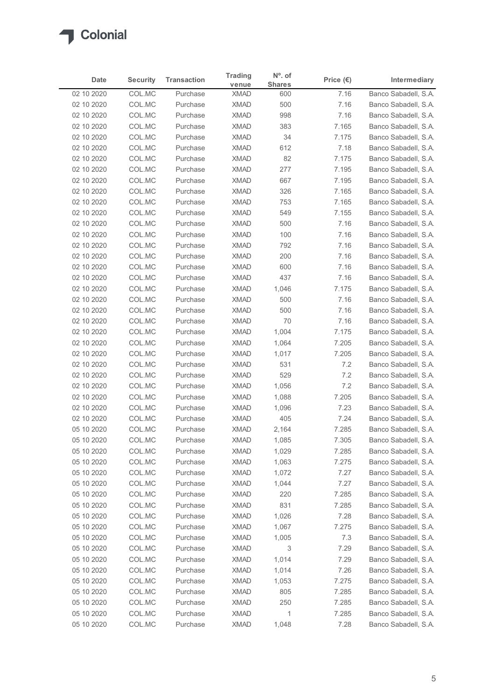

| Date                     | <b>Security</b>  | <b>Transaction</b>   | <b>Trading</b>             | $No$ . of      | Price $(\epsilon)$ | Intermediary                                 |
|--------------------------|------------------|----------------------|----------------------------|----------------|--------------------|----------------------------------------------|
|                          |                  | Purchase             | venue                      | <b>Shares</b>  |                    | Banco Sabadell, S.A.                         |
| 02 10 2020<br>02 10 2020 | COL.MC<br>COL.MC | Purchase             | <b>XMAD</b><br><b>XMAD</b> | 600<br>500     | 7.16<br>7.16       | Banco Sabadell, S.A.                         |
| 02 10 2020               | COL.MC           | Purchase             | <b>XMAD</b>                | 998            | 7.16               | Banco Sabadell, S.A.                         |
| 02 10 2020               | COL.MC           | Purchase             | <b>XMAD</b>                | 383            | 7.165              | Banco Sabadell, S.A.                         |
| 02 10 2020               | COL.MC           | Purchase             | <b>XMAD</b>                | 34             | 7.175              | Banco Sabadell, S.A.                         |
| 02 10 2020               | COL.MC           | Purchase             | <b>XMAD</b>                | 612            | 7.18               | Banco Sabadell, S.A.                         |
| 02 10 2020               | COL.MC           | Purchase             | <b>XMAD</b>                | 82             | 7.175              | Banco Sabadell, S.A.                         |
| 02 10 2020<br>02 10 2020 | COL.MC<br>COL.MC | Purchase<br>Purchase | <b>XMAD</b><br><b>XMAD</b> | 277<br>667     | 7.195<br>7.195     | Banco Sabadell, S.A.<br>Banco Sabadell, S.A. |
| 02 10 2020               | COL.MC           | Purchase             | <b>XMAD</b>                | 326            | 7.165              | Banco Sabadell, S.A.                         |
| 02 10 2020               | COL.MC           | Purchase             | <b>XMAD</b>                | 753            | 7.165              | Banco Sabadell, S.A.                         |
| 02 10 2020               | COL.MC           | Purchase             | <b>XMAD</b>                | 549            | 7.155              | Banco Sabadell, S.A.                         |
| 02 10 2020               | COL.MC           | Purchase             | <b>XMAD</b>                | 500            | 7.16               | Banco Sabadell, S.A.                         |
| 02 10 2020               | COL.MC           | Purchase             | XMAD                       | 100            | 7.16               | Banco Sabadell, S.A.                         |
| 02 10 2020               | COL.MC           | Purchase             | <b>XMAD</b>                | 792            | 7.16               | Banco Sabadell, S.A.                         |
| 02 10 2020<br>02 10 2020 | COL.MC<br>COL.MC | Purchase<br>Purchase | XMAD<br><b>XMAD</b>        | 200<br>600     | 7.16<br>7.16       | Banco Sabadell, S.A.<br>Banco Sabadell, S.A. |
| 02 10 2020               | COL.MC           | Purchase             | <b>XMAD</b>                | 437            | 7.16               | Banco Sabadell, S.A.                         |
| 02 10 2020               | COL.MC           | Purchase             | <b>XMAD</b>                | 1,046          | 7.175              | Banco Sabadell, S.A.                         |
| 02 10 2020               | COL.MC           | Purchase             | <b>XMAD</b>                | 500            | 7.16               | Banco Sabadell, S.A.                         |
| 02 10 2020               | COL.MC           | Purchase             | <b>XMAD</b>                | 500            | 7.16               | Banco Sabadell, S.A.                         |
| 02 10 2020               | COL.MC           | Purchase             | XMAD                       | 70             | 7.16               | Banco Sabadell, S.A.                         |
| 02 10 2020               | COL.MC           | Purchase             | <b>XMAD</b>                | 1,004          | 7.175              | Banco Sabadell, S.A.                         |
| 02 10 2020<br>02 10 2020 | COL.MC<br>COL.MC | Purchase<br>Purchase | <b>XMAD</b><br><b>XMAD</b> | 1,064<br>1,017 | 7.205<br>7.205     | Banco Sabadell, S.A.<br>Banco Sabadell, S.A. |
| 02 10 2020               | COL.MC           | Purchase             | <b>XMAD</b>                | 531            | 7.2                | Banco Sabadell, S.A.                         |
| 02 10 2020               | COL.MC           | Purchase             | <b>XMAD</b>                | 529            | 7.2                | Banco Sabadell, S.A.                         |
| 02 10 2020               | COL.MC           | Purchase             | <b>XMAD</b>                | 1,056          | 7.2                | Banco Sabadell, S.A.                         |
| 02 10 2020               | COL.MC           | Purchase             | <b>XMAD</b>                | 1,088          | 7.205              | Banco Sabadell, S.A.                         |
| 02 10 2020               | COL.MC           | Purchase             | <b>XMAD</b>                | 1,096          | 7.23               | Banco Sabadell, S.A.                         |
| 02 10 2020               | COL.MC           | Purchase             | <b>XMAD</b>                | 405            | 7.24               | Banco Sabadell, S.A.                         |
| 05 10 2020               | COL.MC           | Purchase             | <b>XMAD</b>                | 2,164          | 7.285              | Banco Sabadell, S.A.                         |
| 05 10 2020               | COL.MC           | Purchase             | <b>XMAD</b>                | 1,085          | 7.305              | Banco Sabadell, S.A.                         |
| 05 10 2020<br>05 10 2020 | COL.MC<br>COL.MC | Purchase<br>Purchase | <b>XMAD</b><br>XMAD        | 1,029<br>1,063 | 7.285<br>7.275     | Banco Sabadell, S.A.<br>Banco Sabadell, S.A. |
| 05 10 2020               | COL.MC           | Purchase             | <b>XMAD</b>                | 1,072          | 7.27               | Banco Sabadell, S.A.                         |
| 05 10 2020               | COL.MC           | Purchase             | <b>XMAD</b>                | 1,044          | 7.27               | Banco Sabadell, S.A.                         |
| 05 10 2020               | COL.MC           | Purchase             | <b>XMAD</b>                | 220            | 7.285              | Banco Sabadell, S.A.                         |
| 05 10 2020               | COL.MC           | Purchase             | XMAD                       | 831            | 7.285              | Banco Sabadell, S.A.                         |
| 05 10 2020               | COL.MC           | Purchase             | <b>XMAD</b>                | 1,026          | 7.28               | Banco Sabadell, S.A.                         |
| 05 10 2020               | COL.MC           | Purchase             | <b>XMAD</b>                | 1,067          | 7.275              | Banco Sabadell, S.A.                         |
| 05 10 2020               | COL.MC           | Purchase             | <b>XMAD</b>                | 1,005          | 7.3                | Banco Sabadell, S.A.                         |
| 05 10 2020<br>05 10 2020 | COL.MC           | Purchase             | <b>XMAD</b>                | 3              | 7.29               | Banco Sabadell, S.A.                         |
| 05 10 2020               | COL.MC<br>COL.MC | Purchase<br>Purchase | <b>XMAD</b><br><b>XMAD</b> | 1,014<br>1,014 | 7.29<br>7.26       | Banco Sabadell, S.A.<br>Banco Sabadell, S.A. |
| 05 10 2020               | COL.MC           | Purchase             | <b>XMAD</b>                | 1,053          | 7.275              | Banco Sabadell, S.A.                         |
| 05 10 2020               | COL.MC           | Purchase             | <b>XMAD</b>                | 805            | 7.285              | Banco Sabadell, S.A.                         |
| 05 10 2020               | COL.MC           | Purchase             | <b>XMAD</b>                | 250            | 7.285              | Banco Sabadell, S.A.                         |
| 05 10 2020               | COL.MC           | Purchase             | <b>XMAD</b>                | $\mathbf{1}$   | 7.285              | Banco Sabadell, S.A.                         |
|                          | COL.MC           | Purchase             | <b>XMAD</b>                | 1,048          | 7.28               | Banco Sabadell, S.A.                         |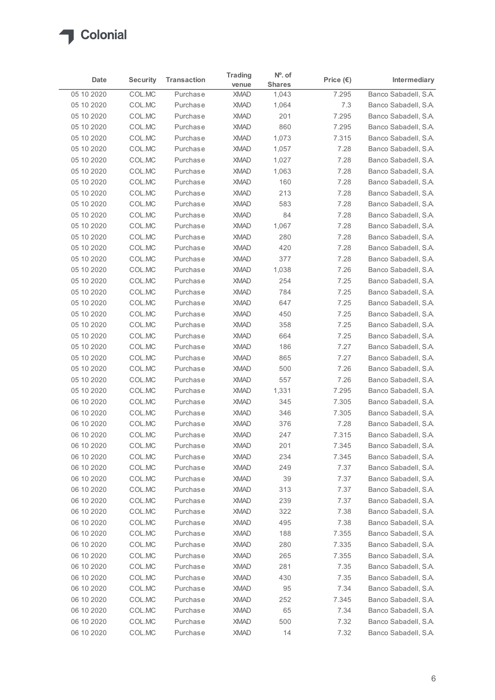

| Date                     | <b>Security</b>  | <b>Transaction</b>   | <b>Trading</b>             | $No$ . of     | Price $(\epsilon)$ | Intermediary                                 |
|--------------------------|------------------|----------------------|----------------------------|---------------|--------------------|----------------------------------------------|
|                          |                  |                      | venue                      | <b>Shares</b> |                    |                                              |
| 05 10 2020               | COL.MC           | Purchase             | <b>XMAD</b>                | 1,043         | 7.295              | Banco Sabadell, S.A.                         |
| 05 10 2020               | COL.MC           | Purchase             | <b>XMAD</b><br><b>XMAD</b> | 1,064<br>201  | $7.3$              | Banco Sabadell, S.A.<br>Banco Sabadell, S.A. |
| 05 10 2020<br>05 10 2020 | COL.MC<br>COL.MC | Purchase<br>Purchase | <b>XMAD</b>                | 860           | 7.295<br>7.295     | Banco Sabadell, S.A.                         |
| 05 10 2020               | COL.MC           | Purchase             | <b>XMAD</b>                | 1,073         | 7.315              | Banco Sabadell, S.A.                         |
| 05 10 2020               | COL.MC           | Purchase             | <b>XMAD</b>                | 1,057         | 7.28               | Banco Sabadell, S.A.                         |
| 05 10 2020               | COL.MC           | Purchase             | <b>XMAD</b>                | 1,027         | 7.28               | Banco Sabadell, S.A.                         |
| 05 10 2020               | COL.MC           | Purchase             | <b>XMAD</b>                | 1,063         | 7.28               | Banco Sabadell, S.A.                         |
| 05 10 2020               | COL.MC           | Purchase             | <b>XMAD</b>                | 160           | 7.28               | Banco Sabadell, S.A.                         |
| 05 10 2020               | COL.MC           | Purchase             | <b>XMAD</b>                | 213           | 7.28               | Banco Sabadell, S.A.                         |
| 05 10 2020               | COL.MC           | Purchase             | <b>XMAD</b>                | 583           | 7.28               | Banco Sabadell, S.A.                         |
| 05 10 2020               | COL.MC           | Purchase             | <b>XMAD</b>                | 84            | 7.28               | Banco Sabadell, S.A.                         |
| 05 10 2020               | COL.MC           | Purchase             | <b>XMAD</b>                | 1,067         | 7.28               | Banco Sabadell, S.A.                         |
| 05 10 2020               | COL.MC           | Purchase             | <b>XMAD</b>                | 280           | 7.28               | Banco Sabadell, S.A.                         |
| 05 10 2020               | COL.MC           | Purchase             | <b>XMAD</b>                | 420           | 7.28               | Banco Sabadell, S.A.                         |
| 05 10 2020               | COL.MC           | Purchase             | <b>XMAD</b>                | 377           | 7.28               | Banco Sabadell, S.A.                         |
| 05 10 2020               | COL.MC           | Purchase             | <b>XMAD</b>                | 1,038         | 7.26               | Banco Sabadell, S.A.                         |
| 05 10 2020               | COL.MC           | Purchase             | <b>XMAD</b>                | 254           | 7.25               | Banco Sabadell, S.A.                         |
| 05 10 2020               | COL.MC           | Purchase             | <b>XMAD</b>                | 784           | 7.25               | Banco Sabadell, S.A.                         |
| 05 10 2020               | COL.MC           | Purchase             | <b>XMAD</b>                | 647           | 7.25               | Banco Sabadell, S.A.                         |
| 05 10 2020               | COL.MC           | Purchase             | <b>XMAD</b>                | 450           | 7.25               | Banco Sabadell, S.A.                         |
| 05 10 2020               | COL.MC           | Purchase             | <b>XMAD</b>                | 358           | 7.25               | Banco Sabadell, S.A.                         |
| 05 10 2020               | COL.MC           | Purchase             | <b>XMAD</b>                | 664           | 7.25               | Banco Sabadell, S.A.                         |
| 05 10 2020               | COL.MC           | Purchase             | <b>XMAD</b>                | 186           | 7.27               | Banco Sabadell, S.A.                         |
| 05 10 2020               | COL.MC           | Purchase             | <b>XMAD</b>                | 865           | 7.27               | Banco Sabadell, S.A.                         |
| 05 10 2020               | COL.MC           | Purchase             | <b>XMAD</b>                | 500           | 7.26               | Banco Sabadell, S.A.                         |
| 05 10 2020               | COL.MC           | Purchase             | <b>XMAD</b>                | 557           | 7.26               | Banco Sabadell, S.A.                         |
| 05 10 2020               | COL.MC           | Purchase             | <b>XMAD</b>                | 1,331         | 7.295              | Banco Sabadell, S.A.                         |
| 06 10 2020               | COL.MC           | Purchase             | <b>XMAD</b>                | 345           | 7.305              | Banco Sabadell, S.A.                         |
|                          |                  |                      |                            |               |                    |                                              |
| 06 10 2020               | COL.MC           | Purchase             | <b>XMAD</b>                | 346           | 7.305              | Banco Sabadell, S.A.                         |
| 06 10 2020               | COL.MC           | Purchase             | <b>XMAD</b>                | 376           | 7.28               | Banco Sabadell, S.A.                         |
| 06 10 2020               | COL.MC           | Purchase             | <b>XMAD</b><br><b>XMAD</b> | 247           | 7.315<br>7.345     | Banco Sabadell, S.A.                         |
| 06 10 2020<br>06 10 2020 | COL.MC           | Purchase             |                            | 201           |                    | Banco Sabadell, S.A.                         |
|                          | COL.MC           | Purchase             | <b>XMAD</b>                | 234           | 7.345              | Banco Sabadell, S.A.                         |
| 06 10 2020               | COL.MC           | Purchase             | <b>XMAD</b>                | 249           | 7.37               | Banco Sabadell, S.A.                         |
| 06 10 2020               | COL.MC           | Purchase             | <b>XMAD</b>                | 39            | 7.37               | Banco Sabadell, S.A.                         |
| 06 10 2020               | COL.MC           | Purchase             | <b>XMAD</b>                | 313           | 7.37               | Banco Sabadell, S.A.                         |
| 06 10 2020               | COL.MC           | Purchase             | <b>XMAD</b>                | 239           | 7.37               | Banco Sabadell, S.A.                         |
| 06 10 2020               | COL.MC           | Purchase             | <b>XMAD</b>                | 322           | 7.38               | Banco Sabadell, S.A.                         |
| 06 10 2020               | COL.MC           | Purchase             | <b>XMAD</b>                | 495           | 7.38               | Banco Sabadell, S.A.                         |
| 06 10 2020               | COL.MC           | Purchase             | <b>XMAD</b>                | 188           | 7.355              | Banco Sabadell, S.A.                         |
| 06 10 2020               | COL.MC           | Purchase             | <b>XMAD</b>                | 280           | 7.335              | Banco Sabadell, S.A.                         |
| 06 10 2020               | COL.MC           | Purchase             | <b>XMAD</b>                | 265           | 7.355              | Banco Sabadell, S.A.                         |
| 06 10 2020               | COL.MC           | Purchase             | <b>XMAD</b>                | 281           | 7.35               | Banco Sabadell, S.A.                         |
| 06 10 2020               | COL.MC           | Purchase             | <b>XMAD</b>                | 430           | 7.35               | Banco Sabadell, S.A.                         |
| 06 10 2020               | COL.MC           | Purchase             | <b>XMAD</b>                | 95            | 7.34               | Banco Sabadell, S.A.                         |
| 06 10 2020               | COL.MC           | Purchase             | <b>XMAD</b>                | 252           | 7.345              | Banco Sabadell, S.A.                         |
| 06 10 2020               | COLMC            | Purchase             | XMAD                       | 65            | 7.34               | Banco Sabadell, S.A.                         |
|                          | COL.MC           | Purchase             | <b>XMAD</b>                | 500           | 7.32               |                                              |
| 06 10 2020               |                  |                      |                            |               |                    | Banco Sabadell, S.A.                         |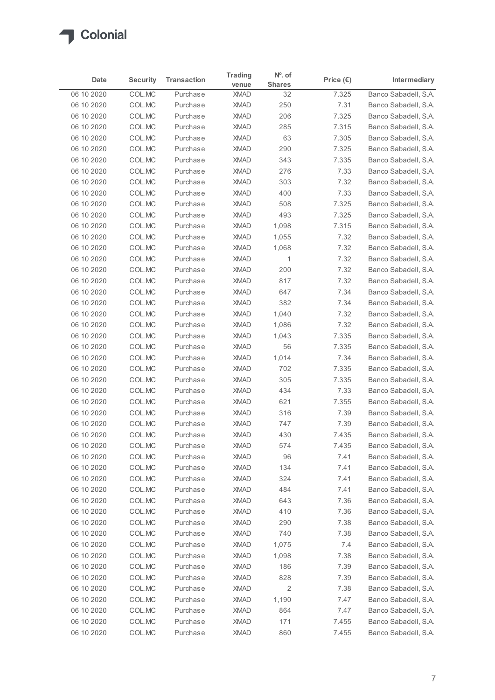

| Date<br>06 10 2020<br>06 10 2020<br>06 10 2020<br>06 10 2020<br>06 10 2020<br>06 10 2020<br>06 10 2020<br>06 10 2020<br>06 10 2020<br>06 10 2020<br>06 10 2020<br>06 10 2020<br>06 10 2020 | <b>Security</b><br>COL.MC<br>COL.MC<br>COL.MC<br>COL.MC<br>COL.MC<br>COL.MC<br>COL.MC<br>COL.MC<br>COL.MC<br>COL.MC | <b>Transaction</b><br>Purchase<br>Purchase<br>Purchase<br>Purchase<br>Purchase<br>Purchase<br>Purchase | <b>Trading</b><br>venue<br><b>XMAD</b><br><b>XMAD</b><br><b>XMAD</b><br><b>XMAD</b> | Nº. of<br><b>Shares</b><br>32<br>250<br>206 | Price $(\epsilon)$<br>7.325 | Intermediary<br>Banco Sabadell, S.A.         |
|--------------------------------------------------------------------------------------------------------------------------------------------------------------------------------------------|---------------------------------------------------------------------------------------------------------------------|--------------------------------------------------------------------------------------------------------|-------------------------------------------------------------------------------------|---------------------------------------------|-----------------------------|----------------------------------------------|
|                                                                                                                                                                                            |                                                                                                                     |                                                                                                        |                                                                                     |                                             |                             |                                              |
|                                                                                                                                                                                            |                                                                                                                     |                                                                                                        |                                                                                     |                                             |                             |                                              |
|                                                                                                                                                                                            |                                                                                                                     |                                                                                                        |                                                                                     |                                             | 7.31<br>7.325               | Banco Sabadell, S.A.<br>Banco Sabadell, S.A. |
|                                                                                                                                                                                            |                                                                                                                     |                                                                                                        |                                                                                     | 285                                         | 7.315                       | Banco Sabadell, S.A.                         |
|                                                                                                                                                                                            |                                                                                                                     |                                                                                                        | <b>XMAD</b>                                                                         | 63                                          | 7.305                       | Banco Sabadell, S.A.                         |
|                                                                                                                                                                                            |                                                                                                                     |                                                                                                        | <b>XMAD</b>                                                                         | 290                                         | 7.325                       | Banco Sabadell, S.A.                         |
|                                                                                                                                                                                            |                                                                                                                     |                                                                                                        | <b>XMAD</b>                                                                         | 343                                         | 7.335                       | Banco Sabadell, S.A.                         |
|                                                                                                                                                                                            |                                                                                                                     | Purchase                                                                                               | <b>XMAD</b>                                                                         | 276                                         | 7.33                        | Banco Sabadell, S.A.                         |
|                                                                                                                                                                                            |                                                                                                                     | Purchase                                                                                               | <b>XMAD</b>                                                                         | 303                                         | 7.32                        | Banco Sabadell, S.A.                         |
|                                                                                                                                                                                            |                                                                                                                     | Purchase                                                                                               | <b>XMAD</b>                                                                         | 400                                         | 7.33                        | Banco Sabadell, S.A.                         |
|                                                                                                                                                                                            | COL.MC                                                                                                              | Purchase                                                                                               | <b>XMAD</b>                                                                         | 508                                         | 7.325                       | Banco Sabadell, S.A.                         |
|                                                                                                                                                                                            | COL.MC                                                                                                              | Purchase                                                                                               | <b>XMAD</b>                                                                         | 493                                         | 7.325                       | Banco Sabadell, S.A.                         |
|                                                                                                                                                                                            | COL.MC<br>COL.MC                                                                                                    | Purchase<br>Purchase                                                                                   | <b>XMAD</b><br><b>XMAD</b>                                                          | 1,098<br>1,055                              | 7.315<br>7.32               | Banco Sabadell, S.A.<br>Banco Sabadell, S.A. |
| 06 10 2020<br>06 10 2020                                                                                                                                                                   | COL.MC                                                                                                              | Purchase                                                                                               | XMAD                                                                                | 1,068                                       | 7.32                        | Banco Sabadell, S.A.                         |
| 06 10 2020                                                                                                                                                                                 | COL.MC                                                                                                              | Purchase                                                                                               | <b>XMAD</b>                                                                         | $\mathbf{1}$                                | 7.32                        | Banco Sabadell, S.A.                         |
| 06 10 2020                                                                                                                                                                                 | COL.MC                                                                                                              | Purchase                                                                                               | <b>XMAD</b>                                                                         | 200                                         | 7.32                        | Banco Sabadell, S.A.                         |
| 06 10 2020                                                                                                                                                                                 | COL.MC                                                                                                              | Purchase                                                                                               | <b>XMAD</b>                                                                         | 817                                         | 7.32                        | Banco Sabadell, S.A.                         |
| 06 10 2020                                                                                                                                                                                 | COL.MC                                                                                                              | Purchase                                                                                               | <b>XMAD</b>                                                                         | 647                                         | 7.34                        | Banco Sabadell, S.A.                         |
| 06 10 2020                                                                                                                                                                                 | COL.MC                                                                                                              | Purchase                                                                                               | <b>XMAD</b>                                                                         | 382                                         | 7.34                        | Banco Sabadell, S.A.                         |
| 06 10 2020                                                                                                                                                                                 | COL.MC                                                                                                              | Purchase                                                                                               | <b>XMAD</b>                                                                         | 1,040                                       | 7.32                        | Banco Sabadell, S.A.                         |
| 06 10 2020                                                                                                                                                                                 | COL.MC                                                                                                              | Purchase                                                                                               | <b>XMAD</b>                                                                         | 1,086                                       | 7.32                        | Banco Sabadell, S.A.                         |
| 06 10 2020                                                                                                                                                                                 | COL.MC                                                                                                              | Purchase                                                                                               | <b>XMAD</b>                                                                         | 1,043                                       | 7.335                       | Banco Sabadell, S.A.                         |
| 06 10 2020<br>06 10 2020                                                                                                                                                                   | COL.MC<br>COL.MC                                                                                                    | Purchase<br>Purchase                                                                                   | <b>XMAD</b><br><b>XMAD</b>                                                          | 56<br>1,014                                 | 7.335<br>7.34               | Banco Sabadell, S.A.<br>Banco Sabadell, S.A. |
| 06 10 2020                                                                                                                                                                                 | COL.MC                                                                                                              | Purchase                                                                                               | <b>XMAD</b>                                                                         | 702                                         | 7.335                       | Banco Sabadell, S.A.                         |
| 06 10 2020                                                                                                                                                                                 | COL.MC                                                                                                              | Purchase                                                                                               | <b>XMAD</b>                                                                         | 305                                         | 7.335                       | Banco Sabadell, S.A.                         |
| 06 10 2020                                                                                                                                                                                 | COL.MC                                                                                                              | Purchase                                                                                               | <b>XMAD</b>                                                                         | 434                                         | 7.33                        | Banco Sabadell, S.A.                         |
| 06 10 2020                                                                                                                                                                                 | COL.MC                                                                                                              | Purchase                                                                                               | <b>XMAD</b>                                                                         | 621                                         | 7.355                       | Banco Sabadell, S.A.                         |
| 06 10 2020                                                                                                                                                                                 | COL.MC                                                                                                              | Purchase                                                                                               | <b>XMAD</b>                                                                         | 316                                         | 7.39                        | Banco Sabadell, S.A.                         |
| 06 10 2020                                                                                                                                                                                 | COL.MC                                                                                                              | Purchase                                                                                               | <b>XMAD</b>                                                                         | 747                                         | 7.39                        | Banco Sabadell, S.A.                         |
| 06 10 2020                                                                                                                                                                                 | COL.MC                                                                                                              | Purchase                                                                                               | <b>XMAD</b>                                                                         | 430                                         | 7.435                       | Banco Sabadell, S.A.                         |
| 06 10 2020                                                                                                                                                                                 | COL.MC                                                                                                              | Purchase                                                                                               | <b>XMAD</b>                                                                         | 574                                         | 7.435                       | Banco Sabadell, S.A.                         |
| 06 10 2020                                                                                                                                                                                 | COL.MC                                                                                                              | Purchase                                                                                               | <b>XMAD</b>                                                                         | 96                                          | 7.41                        | Banco Sabadell, S.A.                         |
| 06 10 2020<br>06 10 2020                                                                                                                                                                   | COL.MC<br>COL.MC                                                                                                    | Purchase<br>Purchase                                                                                   | <b>XMAD</b><br><b>XMAD</b>                                                          | 134<br>324                                  | 7.41<br>7.41                | Banco Sabadell, S.A.<br>Banco Sabadell, S.A. |
| 06 10 2020                                                                                                                                                                                 | COL.MC                                                                                                              | Purchase                                                                                               | <b>XMAD</b>                                                                         | 484                                         | 7.41                        | Banco Sabadell, S.A.                         |
| 06 10 2020                                                                                                                                                                                 | COL.MC                                                                                                              | Purchase                                                                                               | <b>XMAD</b>                                                                         | 643                                         | 7.36                        | Banco Sabadell, S.A.                         |
| 06 10 2020                                                                                                                                                                                 | COL.MC                                                                                                              | Purchase                                                                                               | <b>XMAD</b>                                                                         | 410                                         | 7.36                        | Banco Sabadell, S.A.                         |
| 06 10 2020                                                                                                                                                                                 | COL.MC                                                                                                              | Purchase                                                                                               | <b>XMAD</b>                                                                         | 290                                         | 7.38                        | Banco Sabadell, S.A.                         |
| 06 10 2020                                                                                                                                                                                 | COL.MC                                                                                                              | Purchase                                                                                               | <b>XMAD</b>                                                                         | 740                                         | 7.38                        | Banco Sabadell, S.A.                         |
| 06 10 2020                                                                                                                                                                                 | COL.MC                                                                                                              | Purchase                                                                                               | <b>XMAD</b>                                                                         | 1,075                                       | 7.4                         | Banco Sabadell, S.A.                         |
| 06 10 2020                                                                                                                                                                                 | COL.MC                                                                                                              | Purchase                                                                                               | <b>XMAD</b>                                                                         | 1,098                                       | 7.38                        | Banco Sabadell, S.A.                         |
| 06 10 2020                                                                                                                                                                                 | COL.MC                                                                                                              | Purchase                                                                                               | <b>XMAD</b>                                                                         | 186                                         | 7.39                        | Banco Sabadell, S.A.                         |
| 06 10 2020                                                                                                                                                                                 | COL.MC                                                                                                              | Purchase                                                                                               | <b>XMAD</b>                                                                         | 828                                         | 7.39                        | Banco Sabadell, S.A.                         |
| 06 10 2020                                                                                                                                                                                 | COL.MC                                                                                                              | Purchase                                                                                               | <b>XMAD</b>                                                                         | $\overline{2}$                              | 7.38                        | Banco Sabadell, S.A.                         |
| 06 10 2020                                                                                                                                                                                 | COL.MC                                                                                                              | Purchase                                                                                               | <b>XMAD</b>                                                                         | 1,190                                       | 7.47                        | Banco Sabadell, S.A.                         |
| 06 10 2020                                                                                                                                                                                 | COL.MC                                                                                                              | Purchase                                                                                               | XMAD                                                                                | 864                                         | 7.47                        | Banco Sabadell, S.A.                         |
| 06 10 2020<br>06 10 2020                                                                                                                                                                   | COL.MC<br>COLMC                                                                                                     | Purchase<br>Purchase                                                                                   | XMAD<br>XMAD                                                                        | 171<br>860                                  | 7.455<br>7.455              | Banco Sabadell, S.A.<br>Banco Sabadell, S.A. |